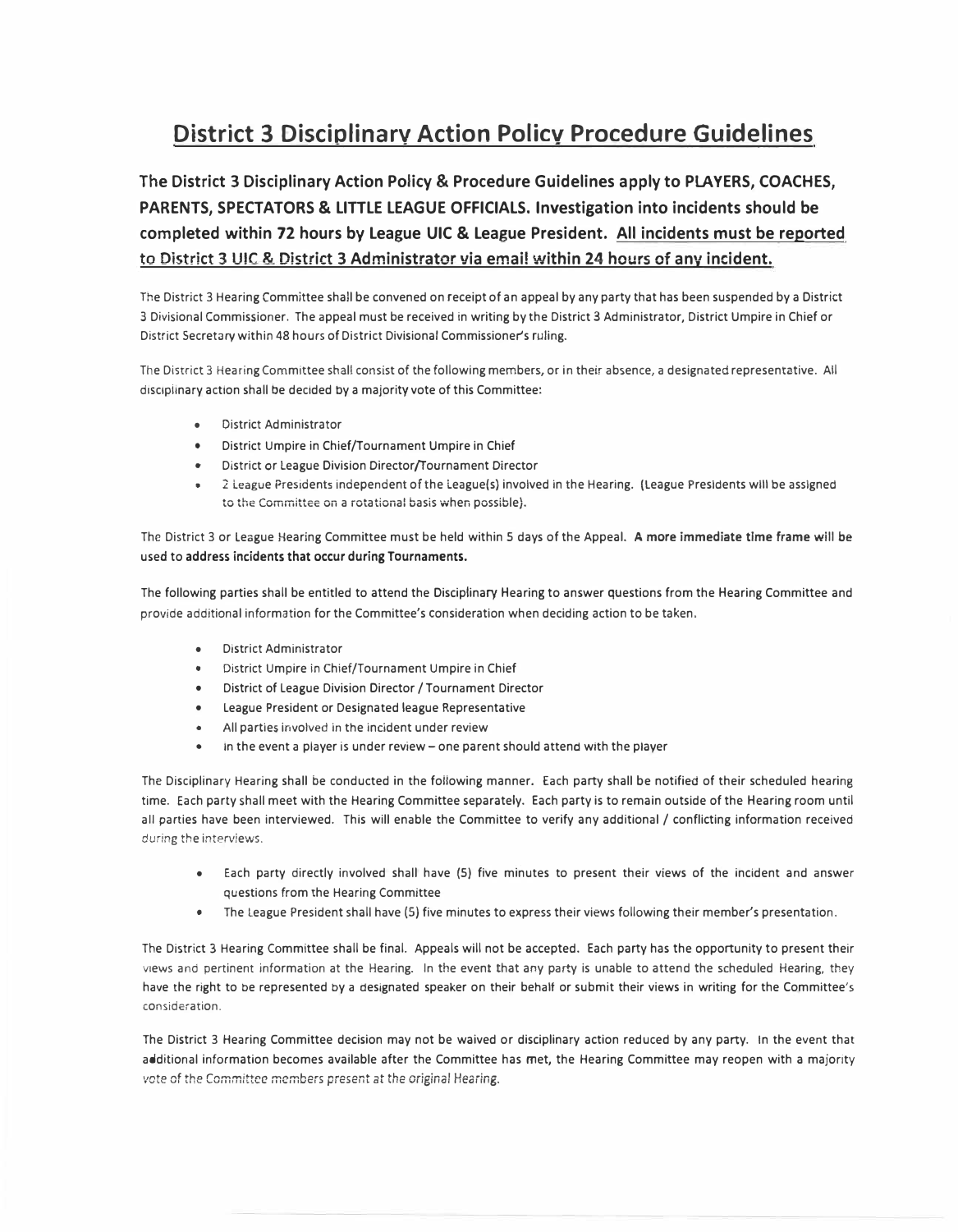## **District 3 Disciolinarv Action Policv Procedure Guidelines**

**The District 3 Disciplinary Action Policy & Procedure Guidelines apply to PLAYERS, COACHES, PARENTS, SPECTATORS & LITTLE LEAGUE OFFICIALS. Investigation into incidents should be completed within 72 hours by League UIC & League President. All incidents must be reported**  to District 3 UIC & District 3 Administrator via email within 24 hours of any incident.

The District 3 Hearing Committee shall be convened on receipt of an appeal by any party that has been suspended by a District 3 Divisional Commissioner. The appeal must be received in writing by the District 3 Administrator, District Umpire in Chief or District Secretary within 48 hours of District Divisional Commissioner's ruling.

The District 3 Hearing Committee shall consist of the following members, or in their absence, a designated representative. All disciplinary action shall be decided by a majority vote of this Committee:

- District Administrator
- District Umpire in Chief/Tournament Umpire in Chief
- District or League Division Director/Tournament Director
- 2 League Presidents independent of the League(s) involved in the Hearing. (League Presidents will be assigned to the Committee on a rotational basis when possible}.

The District 3 or League Hearing Committee must be held within 5 days of the Appeal. **A more immediate time frame will be**  used to **address incidents that occur during Tournaments.** 

The following parties shall be entitled to attend the Disciplinary Hearing to answer questions from the Hearing Committee and provide additional information for the Committee's consideration when deciding action to be taken.

- District Administrator
- District Umpire in Chief/Tournament Umpire in Chief
- District of League Division Director / Tournament Director
- League President or Designated league Representative
- All parties involved in the incident under review
- in the event a piayer is under review one parent should attend with the player

The Disciplinary Hearing shall be conducted in the following manner. Each party shall be notified of their scheduled hearing time. Each party shall meet with the Hearing Committee separately. Each party is to remain outside of the Hearing room until all parties have been interviewed. This will enable the Committee to verify any additional / conflicting information received during the interviews.

- Each party directly involved shall have (5) five minutes to present their views of the incident and answer questions from the Hearing Committee
- The League President shall have (5) five minutes to express their views following their member's presentation.

The District 3 Hearing Committee shall be final. Appeals will not be accepted. Each party has the opportunity to present their views and pertinent information at the Hearing. In the event that any party is unable to attend the scheduled Hearing, they have the right to be represented by a designated speaker on their behalf or submit their views in writing for the Committee's consideration.

The District 3 Hearing Committee decision may not be waived or disciplinary action reduced by any party. In the event that additional information becomes available after the Committee has met, the Hearing Committee may reopen with a majority *� 1*ote of the Committee members present at the original Hearing.